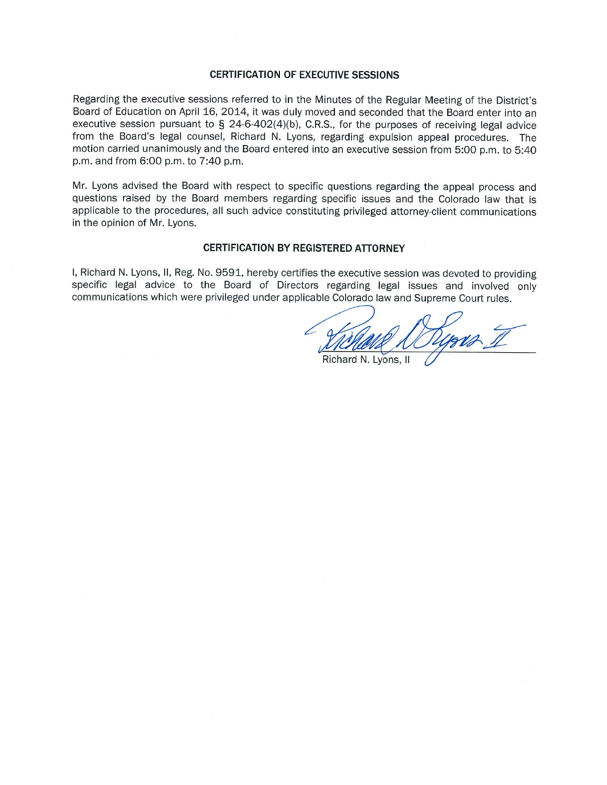#### **CERTIFICATION OF EXECUTIVE SESSIONS**

Regarding the executive sessions referred to in the Minutes of the Regular Meeting of the District's Board of Education on April 16, 2014, it was duly moved and seconded that the Board enter into an executive session pursuant to § 24-6-402(4)(b), C.R.S., for the purposes of receiving legal advice from the Board's legal counsel, Richard N. Lyons, regarding expulsion appeal procedures. The motion carried unanimously and the Board entered into an executive session from 5:00 p.m. to 5:40 p.m. and from 6:00 p.m. to 7:40 p.m.

Mr. Lyons advised the Board with respect to specific questions regarding the appeal process and questions raised by the Board members regarding specific issues and the Colorado law that is applicable to the procedures, all such advice constituting privileged attorney-client communications in the opinion of Mr. Lyons.

#### **CERTIFICATION BY REGISTERED ATTORNEY**

I, Richard N. Lyons, II, Reg. No. 9591, hereby certifies the executive session was devoted to providing specific legal advice to the Board of Directors regarding legal issues and involved only communications which were privileged under applicable Colorado law and Supreme Court rules.

your 1 Richard N. Lyons, II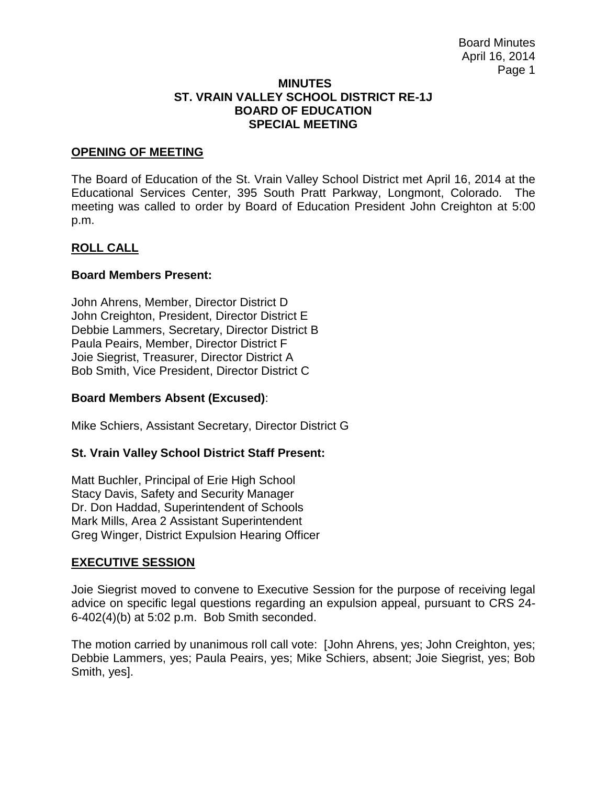#### **MINUTES ST. VRAIN VALLEY SCHOOL DISTRICT RE-1J BOARD OF EDUCATION SPECIAL MEETING**

#### **OPENING OF MEETING**

The Board of Education of the St. Vrain Valley School District met April 16, 2014 at the Educational Services Center, 395 South Pratt Parkway, Longmont, Colorado. The meeting was called to order by Board of Education President John Creighton at 5:00 p.m.

## **ROLL CALL**

#### **Board Members Present:**

John Ahrens, Member, Director District D John Creighton, President, Director District E Debbie Lammers, Secretary, Director District B Paula Peairs, Member, Director District F Joie Siegrist, Treasurer, Director District A Bob Smith, Vice President, Director District C

#### **Board Members Absent (Excused)**:

Mike Schiers, Assistant Secretary, Director District G

## **St. Vrain Valley School District Staff Present:**

Matt Buchler, Principal of Erie High School Stacy Davis, Safety and Security Manager Dr. Don Haddad, Superintendent of Schools Mark Mills, Area 2 Assistant Superintendent Greg Winger, District Expulsion Hearing Officer

#### **EXECUTIVE SESSION**

Joie Siegrist moved to convene to Executive Session for the purpose of receiving legal advice on specific legal questions regarding an expulsion appeal, pursuant to CRS 24- 6-402(4)(b) at 5:02 p.m. Bob Smith seconded.

The motion carried by unanimous roll call vote: [John Ahrens, yes; John Creighton, yes; Debbie Lammers, yes; Paula Peairs, yes; Mike Schiers, absent; Joie Siegrist, yes; Bob Smith, yes].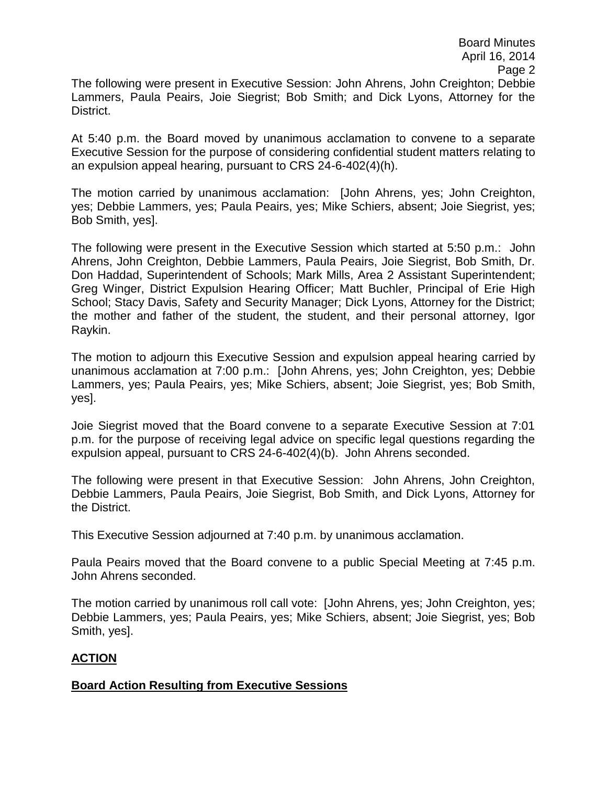The following were present in Executive Session: John Ahrens, John Creighton; Debbie Lammers, Paula Peairs, Joie Siegrist; Bob Smith; and Dick Lyons, Attorney for the District.

At 5:40 p.m. the Board moved by unanimous acclamation to convene to a separate Executive Session for the purpose of considering confidential student matters relating to an expulsion appeal hearing, pursuant to CRS 24-6-402(4)(h).

The motion carried by unanimous acclamation: [John Ahrens, yes; John Creighton, yes; Debbie Lammers, yes; Paula Peairs, yes; Mike Schiers, absent; Joie Siegrist, yes; Bob Smith, yes].

The following were present in the Executive Session which started at 5:50 p.m.: John Ahrens, John Creighton, Debbie Lammers, Paula Peairs, Joie Siegrist, Bob Smith, Dr. Don Haddad, Superintendent of Schools; Mark Mills, Area 2 Assistant Superintendent; Greg Winger, District Expulsion Hearing Officer; Matt Buchler, Principal of Erie High School; Stacy Davis, Safety and Security Manager; Dick Lyons, Attorney for the District; the mother and father of the student, the student, and their personal attorney, Igor Raykin.

The motion to adjourn this Executive Session and expulsion appeal hearing carried by unanimous acclamation at 7:00 p.m.: [John Ahrens, yes; John Creighton, yes; Debbie Lammers, yes; Paula Peairs, yes; Mike Schiers, absent; Joie Siegrist, yes; Bob Smith, yes].

Joie Siegrist moved that the Board convene to a separate Executive Session at 7:01 p.m. for the purpose of receiving legal advice on specific legal questions regarding the expulsion appeal, pursuant to CRS 24-6-402(4)(b). John Ahrens seconded.

The following were present in that Executive Session: John Ahrens, John Creighton, Debbie Lammers, Paula Peairs, Joie Siegrist, Bob Smith, and Dick Lyons, Attorney for the District.

This Executive Session adjourned at 7:40 p.m. by unanimous acclamation.

Paula Peairs moved that the Board convene to a public Special Meeting at 7:45 p.m. John Ahrens seconded.

The motion carried by unanimous roll call vote: [John Ahrens, yes; John Creighton, yes; Debbie Lammers, yes; Paula Peairs, yes; Mike Schiers, absent; Joie Siegrist, yes; Bob Smith, yes].

# **ACTION**

## **Board Action Resulting from Executive Sessions**